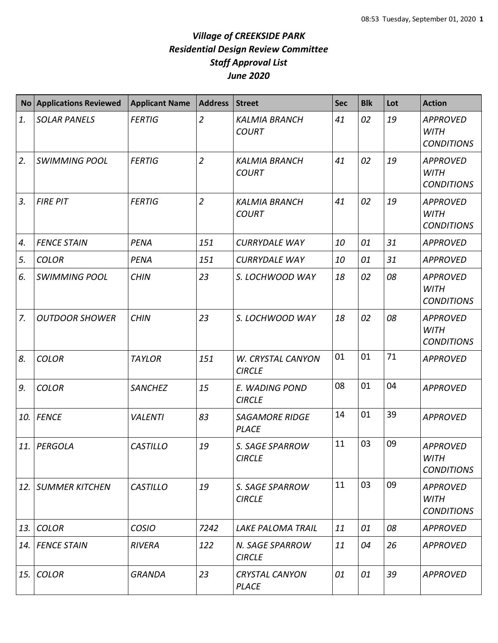|     | No Applications Reviewed | <b>Applicant Name</b> | <b>Address</b> | <b>Street</b>                         | <b>Sec</b> | <b>Blk</b> | Lot | <b>Action</b>                                       |
|-----|--------------------------|-----------------------|----------------|---------------------------------------|------------|------------|-----|-----------------------------------------------------|
| 1.  | <b>SOLAR PANELS</b>      | <b>FERTIG</b>         | $\overline{2}$ | <b>KALMIA BRANCH</b><br><b>COURT</b>  | 41         | 02         | 19  | <b>APPROVED</b><br><b>WITH</b><br><b>CONDITIONS</b> |
| 2.  | <b>SWIMMING POOL</b>     | <b>FERTIG</b>         | $\overline{2}$ | <b>KALMIA BRANCH</b><br><b>COURT</b>  | 41         | 02         | 19  | <b>APPROVED</b><br><b>WITH</b><br><b>CONDITIONS</b> |
| 3.  | <b>FIRE PIT</b>          | <b>FERTIG</b>         | $\overline{2}$ | <b>KALMIA BRANCH</b><br><b>COURT</b>  | 41         | 02         | 19  | <b>APPROVED</b><br><b>WITH</b><br><b>CONDITIONS</b> |
| 4.  | <b>FENCE STAIN</b>       | PENA                  | 151            | <b>CURRYDALE WAY</b>                  | 10         | 01         | 31  | <b>APPROVED</b>                                     |
| 5.  | <b>COLOR</b>             | PENA                  | 151            | <b>CURRYDALE WAY</b>                  | 10         | 01         | 31  | <b>APPROVED</b>                                     |
| 6.  | <b>SWIMMING POOL</b>     | <b>CHIN</b>           | 23             | S. LOCHWOOD WAY                       | 18         | 02         | 08  | <b>APPROVED</b><br><b>WITH</b><br><b>CONDITIONS</b> |
| 7.  | <b>OUTDOOR SHOWER</b>    | <b>CHIN</b>           | 23             | S. LOCHWOOD WAY                       | 18         | 02         | 08  | <b>APPROVED</b><br><b>WITH</b><br><b>CONDITIONS</b> |
| 8.  | <b>COLOR</b>             | <b>TAYLOR</b>         | 151            | W. CRYSTAL CANYON<br><b>CIRCLE</b>    | 01         | 01         | 71  | <b>APPROVED</b>                                     |
| 9.  | <b>COLOR</b>             | <b>SANCHEZ</b>        | 15             | E. WADING POND<br><b>CIRCLE</b>       | 08         | 01         | 04  | <b>APPROVED</b>                                     |
| 10. | <b>FENCE</b>             | <b>VALENTI</b>        | 83             | <b>SAGAMORE RIDGE</b><br><b>PLACE</b> | 14         | 01         | 39  | <b>APPROVED</b>                                     |
| 11. | <b>PERGOLA</b>           | <b>CASTILLO</b>       | 19             | S. SAGE SPARROW<br><b>CIRCLE</b>      | 11         | 03         | 09  | <b>APPROVED</b><br>WITH<br><b>CONDITIONS</b>        |
| 12. | <b>SUMMER KITCHEN</b>    | <b>CASTILLO</b>       | 19             | S. SAGE SPARROW<br><b>CIRCLE</b>      | 11         | 03         | 09  | <b>APPROVED</b><br><b>WITH</b><br><b>CONDITIONS</b> |
| 13. | <b>COLOR</b>             | <b>COSIO</b>          | 7242           | <b>LAKE PALOMA TRAIL</b>              | 11         | 01         | 08  | <b>APPROVED</b>                                     |
|     | 14. FENCE STAIN          | <b>RIVERA</b>         | 122            | N. SAGE SPARROW<br><b>CIRCLE</b>      | 11         | 04         | 26  | <b>APPROVED</b>                                     |
| 15. | <b>COLOR</b>             | <b>GRANDA</b>         | 23             | <b>CRYSTAL CANYON</b><br><b>PLACE</b> | 01         | 01         | 39  | <b>APPROVED</b>                                     |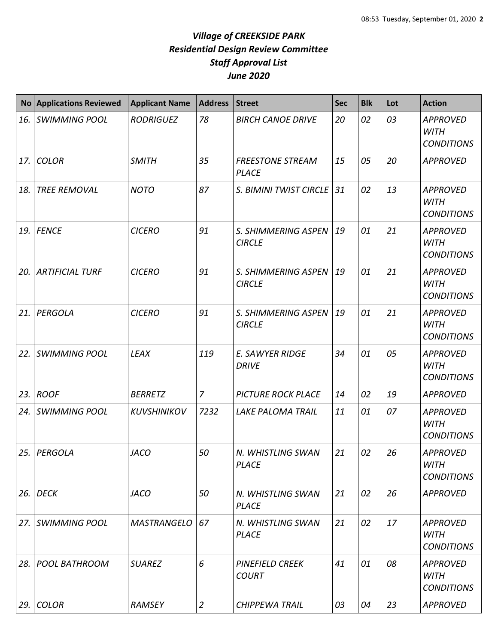| $\mathsf{No}$ | <b>Applications Reviewed</b> | <b>Applicant Name</b> | <b>Address</b> | <b>Street</b>                           | <b>Sec</b> | <b>Blk</b> | Lot | <b>Action</b>                                       |
|---------------|------------------------------|-----------------------|----------------|-----------------------------------------|------------|------------|-----|-----------------------------------------------------|
| 16.           | <b>SWIMMING POOL</b>         | <b>RODRIGUEZ</b>      | 78             | <b>BIRCH CANOE DRIVE</b>                | 20         | 02         | 03  | <b>APPROVED</b><br><b>WITH</b><br><b>CONDITIONS</b> |
| 17.           | <b>COLOR</b>                 | <b>SMITH</b>          | 35             | <b>FREESTONE STREAM</b><br><b>PLACE</b> | 15         | 05         | 20  | <b>APPROVED</b>                                     |
| 18.           | <b>TREE REMOVAL</b>          | <b>NOTO</b>           | 87             | S. BIMINI TWIST CIRCLE                  | 31         | 02         | 13  | <b>APPROVED</b><br><b>WITH</b><br><b>CONDITIONS</b> |
| 19.           | <b>FENCE</b>                 | <b>CICERO</b>         | 91             | S. SHIMMERING ASPEN<br><b>CIRCLE</b>    | 19         | 01         | 21  | <b>APPROVED</b><br><b>WITH</b><br><b>CONDITIONS</b> |
| 20.           | <b>ARTIFICIAL TURF</b>       | <b>CICERO</b>         | 91             | S. SHIMMERING ASPEN<br><b>CIRCLE</b>    | 19         | 01         | 21  | <b>APPROVED</b><br><b>WITH</b><br><b>CONDITIONS</b> |
| 21.           | PERGOLA                      | <b>CICERO</b>         | 91             | S. SHIMMERING ASPEN<br><b>CIRCLE</b>    | 19         | 01         | 21  | <b>APPROVED</b><br><b>WITH</b><br><b>CONDITIONS</b> |
| 22.           | <b>SWIMMING POOL</b>         | <b>LEAX</b>           | 119            | E. SAWYER RIDGE<br><b>DRIVE</b>         | 34         | 01         | 05  | <b>APPROVED</b><br><b>WITH</b><br><b>CONDITIONS</b> |
| 23.           | <b>ROOF</b>                  | <b>BERRETZ</b>        | $\overline{7}$ | <b>PICTURE ROCK PLACE</b>               | 14         | 02         | 19  | <b>APPROVED</b>                                     |
| 24.           | <b>SWIMMING POOL</b>         | <b>KUVSHINIKOV</b>    | 7232           | <b>LAKE PALOMA TRAIL</b>                | 11         | 01         | 07  | <b>APPROVED</b><br><b>WITH</b><br><b>CONDITIONS</b> |
| 25.           | PERGOLA                      | <b>JACO</b>           | 50             | N. WHISTLING SWAN<br><b>PLACE</b>       | 21         | 02         | 26  | <b>APPROVED</b><br><b>WITH</b><br><b>CONDITIONS</b> |
| 26.           | <b>DECK</b>                  | <b>JACO</b>           | 50             | N. WHISTLING SWAN<br><b>PLACE</b>       | 21         | 02         | 26  | <b>APPROVED</b>                                     |
| 27.           | SWIMMING POOL                | <b>MASTRANGELO</b>    | 67             | N. WHISTLING SWAN<br><b>PLACE</b>       | 21         | 02         | 17  | <b>APPROVED</b><br>WITH<br><b>CONDITIONS</b>        |
| 28.           | POOL BATHROOM                | <b>SUAREZ</b>         | 6              | <b>PINEFIELD CREEK</b><br><b>COURT</b>  | 41         | 01         | 08  | <b>APPROVED</b><br><b>WITH</b><br><b>CONDITIONS</b> |
| 29.           | <b>COLOR</b>                 | RAMSEY                | $\overline{2}$ | <b>CHIPPEWA TRAIL</b>                   | 03         | 04         | 23  | <b>APPROVED</b>                                     |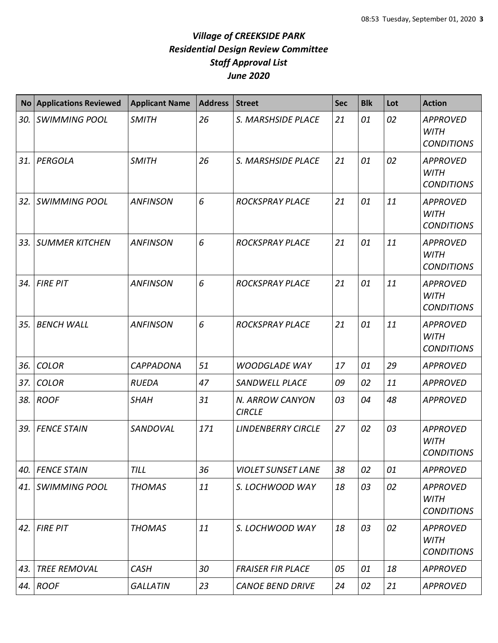|     | No Applications Reviewed | <b>Applicant Name</b> | <b>Address</b> | <b>Street</b>                    | <b>Sec</b> | <b>Blk</b> | Lot | <b>Action</b>                                       |
|-----|--------------------------|-----------------------|----------------|----------------------------------|------------|------------|-----|-----------------------------------------------------|
| 30. | <b>SWIMMING POOL</b>     | <b>SMITH</b>          | 26             | S. MARSHSIDE PLACE               | 21         | 01         | 02  | <b>APPROVED</b><br><b>WITH</b><br><b>CONDITIONS</b> |
| 31. | PERGOLA                  | <b>SMITH</b>          | 26             | S. MARSHSIDE PLACE               | 21         | 01         | 02  | <b>APPROVED</b><br><b>WITH</b><br><b>CONDITIONS</b> |
| 32. | <b>SWIMMING POOL</b>     | <b>ANFINSON</b>       | 6              | <b>ROCKSPRAY PLACE</b>           | 21         | 01         | 11  | <b>APPROVED</b><br><b>WITH</b><br><b>CONDITIONS</b> |
| 33. | <b>SUMMER KITCHEN</b>    | <b>ANFINSON</b>       | 6              | <b>ROCKSPRAY PLACE</b>           | 21         | 01         | 11  | <b>APPROVED</b><br><b>WITH</b><br><b>CONDITIONS</b> |
| 34. | <b>FIRE PIT</b>          | <b>ANFINSON</b>       | 6              | <b>ROCKSPRAY PLACE</b>           | 21         | 01         | 11  | <b>APPROVED</b><br><b>WITH</b><br><b>CONDITIONS</b> |
| 35. | <b>BENCH WALL</b>        | <b>ANFINSON</b>       | 6              | <b>ROCKSPRAY PLACE</b>           | 21         | 01         | 11  | <b>APPROVED</b><br><b>WITH</b><br><b>CONDITIONS</b> |
| 36. | <b>COLOR</b>             | <b>CAPPADONA</b>      | 51             | <b>WOODGLADE WAY</b>             | 17         | 01         | 29  | <b>APPROVED</b>                                     |
| 37. | <b>COLOR</b>             | <b>RUEDA</b>          | 47             | <b>SANDWELL PLACE</b>            | 09         | 02         | 11  | <b>APPROVED</b>                                     |
|     | 38. ROOF                 | <b>SHAH</b>           | 31             | N. ARROW CANYON<br><b>CIRCLE</b> | 03         | 04         | 48  | <b>APPROVED</b>                                     |
| 39. | <b>FENCE STAIN</b>       | SANDOVAL              | 171            | <b>LINDENBERRY CIRCLE</b>        | 27         | 02         | 03  | <b>APPROVED</b><br><b>WITH</b><br><b>CONDITIONS</b> |
| 40. | <b>FENCE STAIN</b>       | <b>TILL</b>           | 36             | <b>VIOLET SUNSET LANE</b>        | 38         | 02         | 01  | <b>APPROVED</b>                                     |
|     | 41. SWIMMING POOL        | <b>THOMAS</b>         | 11             | S. LOCHWOOD WAY                  | 18         | 03         | 02  | <b>APPROVED</b><br><b>WITH</b><br><b>CONDITIONS</b> |
| 42. | <b>FIRE PIT</b>          | <b>THOMAS</b>         | 11             | S. LOCHWOOD WAY                  | 18         | 03         | 02  | <b>APPROVED</b><br><b>WITH</b><br><b>CONDITIONS</b> |
| 43. | <b>TREE REMOVAL</b>      | <b>CASH</b>           | 30             | <b>FRAISER FIR PLACE</b>         | 05         | 01         | 18  | <b>APPROVED</b>                                     |
|     | 44. ROOF                 | <b>GALLATIN</b>       | 23             | <b>CANOE BEND DRIVE</b>          | 24         | 02         | 21  | <b>APPROVED</b>                                     |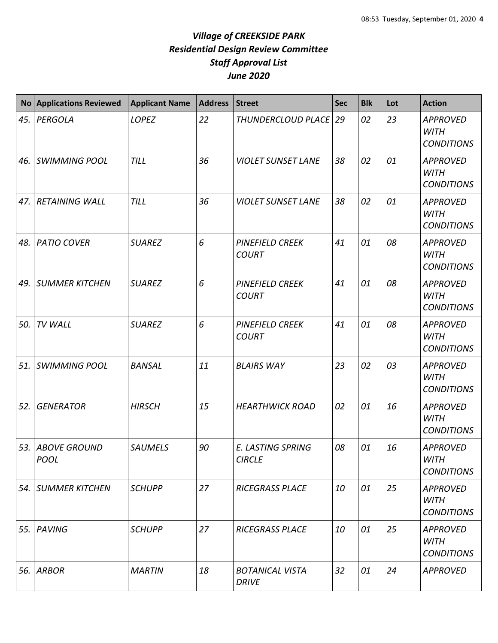|     | No Applications Reviewed        | <b>Applicant Name</b> | <b>Address</b> | <b>Street</b>                             | <b>Sec</b> | <b>Blk</b> | Lot | <b>Action</b>                                       |
|-----|---------------------------------|-----------------------|----------------|-------------------------------------------|------------|------------|-----|-----------------------------------------------------|
| 45. | PERGOLA                         | <b>LOPEZ</b>          | 22             | THUNDERCLOUD PLACE 29                     |            | 02         | 23  | <b>APPROVED</b><br><b>WITH</b><br><b>CONDITIONS</b> |
| 46. | <b>SWIMMING POOL</b>            | <b>TILL</b>           | 36             | <b>VIOLET SUNSET LANE</b>                 | 38         | 02         | 01  | <b>APPROVED</b><br><b>WITH</b><br><b>CONDITIONS</b> |
|     | 47. RETAINING WALL              | <b>TILL</b>           | 36             | <b>VIOLET SUNSET LANE</b>                 | 38         | 02         | 01  | <b>APPROVED</b><br><b>WITH</b><br><b>CONDITIONS</b> |
| 48. | <b>PATIO COVER</b>              | <b>SUAREZ</b>         | 6              | <b>PINEFIELD CREEK</b><br><b>COURT</b>    | 41         | 01         | 08  | <b>APPROVED</b><br><b>WITH</b><br><b>CONDITIONS</b> |
| 49. | <b>SUMMER KITCHEN</b>           | <b>SUAREZ</b>         | 6              | <b>PINEFIELD CREEK</b><br><b>COURT</b>    | 41         | 01         | 08  | <b>APPROVED</b><br><b>WITH</b><br><b>CONDITIONS</b> |
| 50. | <b>TV WALL</b>                  | <b>SUAREZ</b>         | 6              | <b>PINEFIELD CREEK</b><br><b>COURT</b>    | 41         | 01         | 08  | <b>APPROVED</b><br><b>WITH</b><br><b>CONDITIONS</b> |
|     | 51. SWIMMING POOL               | <b>BANSAL</b>         | 11             | <b>BLAIRS WAY</b>                         | 23         | 02         | 03  | <b>APPROVED</b><br><b>WITH</b><br><b>CONDITIONS</b> |
| 52. | <b>GENERATOR</b>                | <b>HIRSCH</b>         | 15             | <b>HEARTHWICK ROAD</b>                    | 02         | 01         | 16  | <b>APPROVED</b><br><b>WITH</b><br><b>CONDITIONS</b> |
|     | 53. ABOVE GROUND<br><b>POOL</b> | <b>SAUMELS</b>        | 90             | <b>E. LASTING SPRING</b><br><b>CIRCLE</b> | 08         | 01         | 16  | <b>APPROVED</b><br>WITH<br><b>CONDITIONS</b>        |
|     | 54. SUMMER KITCHEN              | <b>SCHUPP</b>         | 27             | <b>RICEGRASS PLACE</b>                    | 10         | 01         | 25  | <b>APPROVED</b><br><b>WITH</b><br><b>CONDITIONS</b> |
|     | 55. PAVING                      | <b>SCHUPP</b>         | 27             | <b>RICEGRASS PLACE</b>                    | 10         | 01         | 25  | <b>APPROVED</b><br><b>WITH</b><br><b>CONDITIONS</b> |
| 56. | <b>ARBOR</b>                    | <b>MARTIN</b>         | 18             | <b>BOTANICAL VISTA</b><br><b>DRIVE</b>    | 32         | 01         | 24  | <b>APPROVED</b>                                     |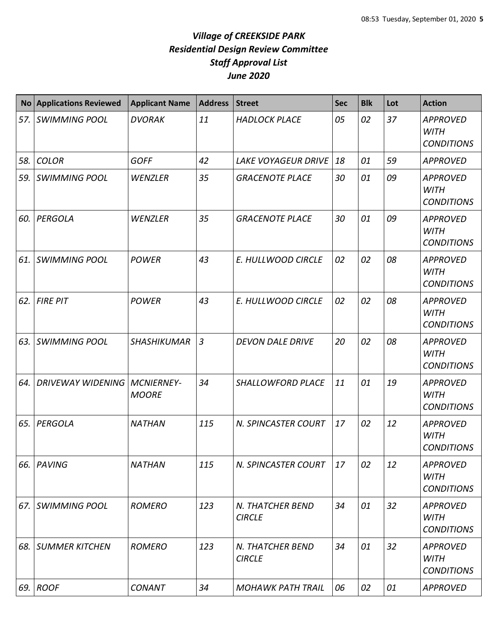|     | No Applications Reviewed              | <b>Applicant Name</b> | <b>Address</b> | <b>Street</b>                     | <b>Sec</b> | <b>Blk</b> | Lot | <b>Action</b>                                       |
|-----|---------------------------------------|-----------------------|----------------|-----------------------------------|------------|------------|-----|-----------------------------------------------------|
|     | 57. SWIMMING POOL                     | <b>DVORAK</b>         | 11             | <b>HADLOCK PLACE</b>              | 05         | 02         | 37  | <b>APPROVED</b><br><b>WITH</b><br><b>CONDITIONS</b> |
| 58. | <b>COLOR</b>                          | <b>GOFF</b>           | 42             | <b>LAKE VOYAGEUR DRIVE</b>        | 18         | 01         | 59  | <b>APPROVED</b>                                     |
| 59. | <b>SWIMMING POOL</b>                  | WENZLER               | 35             | <b>GRACENOTE PLACE</b>            | 30         | 01         | 09  | <b>APPROVED</b><br><b>WITH</b><br><b>CONDITIONS</b> |
| 60. | PERGOLA                               | <b>WENZLER</b>        | 35             | <b>GRACENOTE PLACE</b>            | 30         | 01         | 09  | <b>APPROVED</b><br><b>WITH</b><br><b>CONDITIONS</b> |
| 61. | <b>SWIMMING POOL</b>                  | <b>POWER</b>          | 43             | E. HULLWOOD CIRCLE                | 02         | 02         | 08  | <b>APPROVED</b><br><b>WITH</b><br><b>CONDITIONS</b> |
| 62. | <b>FIRE PIT</b>                       | <b>POWER</b>          | 43             | E. HULLWOOD CIRCLE                | 02         | 02         | 08  | <b>APPROVED</b><br><b>WITH</b><br><b>CONDITIONS</b> |
| 63. | <b>SWIMMING POOL</b>                  | <b>SHASHIKUMAR</b>    | $\overline{3}$ | <b>DEVON DALE DRIVE</b>           | 20         | 02         | 08  | <b>APPROVED</b><br><b>WITH</b><br><b>CONDITIONS</b> |
| 64. | <b>DRIVEWAY WIDENING   MCNIERNEY-</b> | <b>MOORE</b>          | 34             | SHALLOWFORD PLACE                 | 11         | 01         | 19  | <b>APPROVED</b><br><b>WITH</b><br><b>CONDITIONS</b> |
| 65. | PERGOLA                               | <b>NATHAN</b>         | 115            | N. SPINCASTER COURT               | 17         | 02         | 12  | <b>APPROVED</b><br><b>WITH</b><br><b>CONDITIONS</b> |
|     | 66. PAVING                            | <b>NATHAN</b>         | 115            | N. SPINCASTER COURT               | 17         | 02         | 12  | <b>APPROVED</b><br><b>WITH</b><br><b>CONDITIONS</b> |
|     | 67. SWIMMING POOL                     | <b>ROMERO</b>         | 123            | N. THATCHER BEND<br><b>CIRCLE</b> | 34         | 01         | 32  | <b>APPROVED</b><br><b>WITH</b><br><b>CONDITIONS</b> |
|     | <b>68. SUMMER KITCHEN</b>             | <b>ROMERO</b>         | 123            | N. THATCHER BEND<br><b>CIRCLE</b> | 34         | 01         | 32  | <b>APPROVED</b><br><b>WITH</b><br><b>CONDITIONS</b> |
|     | 69. ROOF                              | <b>CONANT</b>         | 34             | <b>MOHAWK PATH TRAIL</b>          | 06         | 02         | 01  | <b>APPROVED</b>                                     |